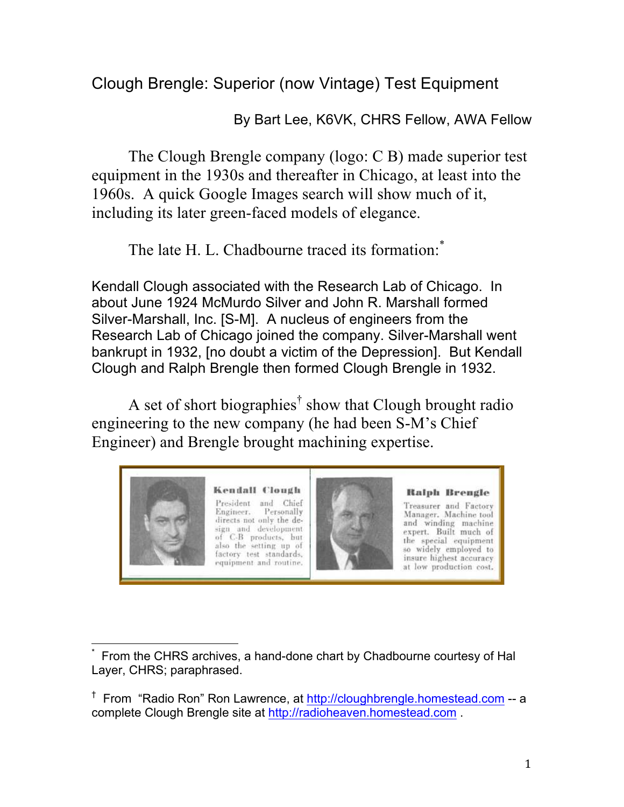Clough Brengle: Superior (now Vintage) Test Equipment

By Bart Lee, K6VK, CHRS Fellow, AWA Fellow

The Clough Brengle company (logo: C B) made superior test equipment in the 1930s and thereafter in Chicago, at least into the 1960s. A quick Google Images search will show much of it, including its later green-faced models of elegance.

The late H. L. Chadbourne traced its formation:

Kendall Clough associated with the Research Lab of Chicago. In about June 1924 McMurdo Silver and John R. Marshall formed Silver-Marshall, Inc. [S-M]. A nucleus of engineers from the Research Lab of Chicago joined the company. Silver-Marshall went bankrupt in 1932, [no doubt a victim of the Depression]. But Kendall Clough and Ralph Brengle then formed Clough Brengle in 1932.

A set of short biographies<sup>†</sup> show that Clough brought radio engineering to the new company (he had been S-M's Chief Engineer) and Brengle brought machining expertise.



 

<sup>\*</sup> From the CHRS archives, a hand-done chart by Chadbourne courtesy of Hal Layer, CHRS; paraphrased.

<sup>&</sup>lt;sup>†</sup> From "Radio Ron" Ron Lawrence, at http://cloughbrengle.homestead.com -- a complete Clough Brengle site at http://radioheaven.homestead.com .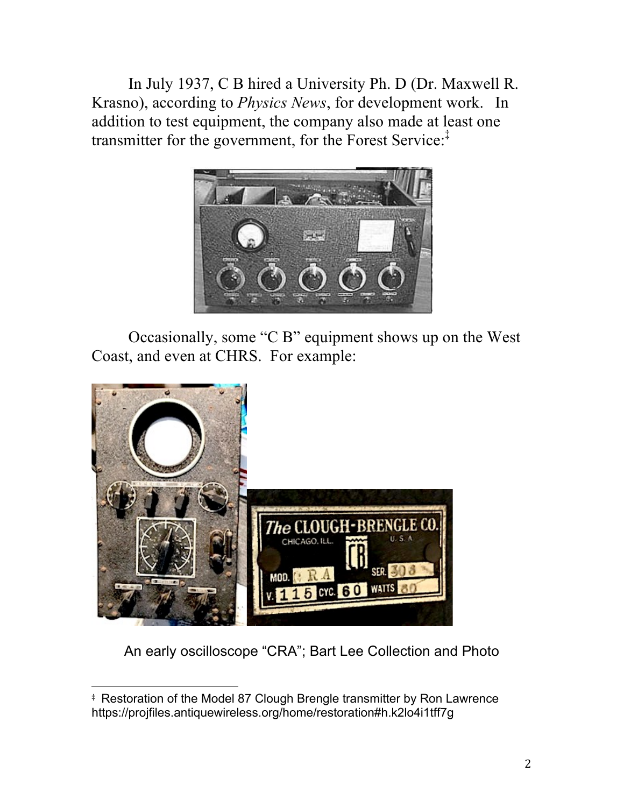In July 1937, C B hired a University Ph. D (Dr. Maxwell R. Krasno), according to *Physics News*, for development work. In addition to test equipment, the company also made at least one transmitter for the government, for the Forest Service:‡



Occasionally, some "C B" equipment shows up on the West Coast, and even at CHRS. For example:



An early oscilloscope "CRA"; Bart Lee Collection and Photo

 

<sup>‡</sup> Restoration of the Model 87 Clough Brengle transmitter by Ron Lawrence https://projfiles.antiquewireless.org/home/restoration#h.k2lo4i1tff7g